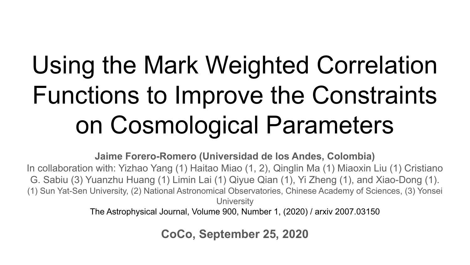# Using the Mark Weighted Correlation Functions to Improve the Constraints on Cosmological Parameters

**Jaime Forero-Romero (Universidad de los Andes, Colombia)**

In collaboration with: Yizhao Yang (1) Haitao Miao (1, 2), Qinglin Ma (1) Miaoxin Liu (1) Cristiano G. Sabiu (3) Yuanzhu Huang (1) Limin Lai (1) Qiyue Qian (1), Yi Zheng (1), and Xiao-Dong (1). (1) Sun Yat-Sen University, (2) National Astronomical Observatories, Chinese Academy of Sciences, (3) Yonsei **University** 

The Astrophysical Journal, Volume 900, Number 1, (2020) / arxiv 2007.03150

**CoCo, September 25, 2020**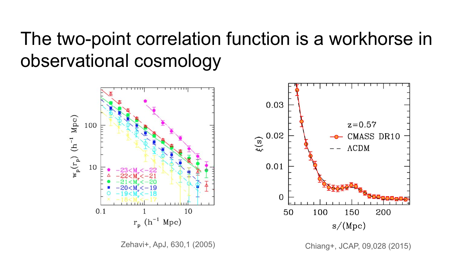# The two-point correlation function is a workhorse in observational cosmology

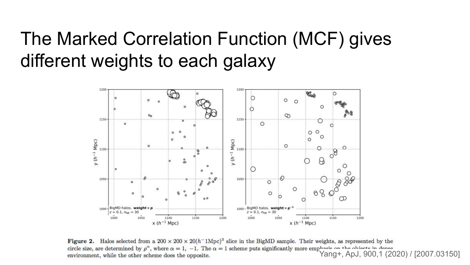## The Marked Correlation Function (MCF) gives different weights to each galaxy



Figure 2. Halos selected from a  $200 \times 200 \times 20(h^{-1}\text{Mpc})^3$  slice in the BigMD sample. Their weights, as represented by the circle size, are determined by  $\rho^{\alpha}$ , where  $\alpha = 1$ ,  $-1$ . The  $\alpha = 1$  scheme puts significantly more emphasis on the objects in dense environment. while the other scheme does the opposite.<br>Yang+, ApJ, 900,1 (2020) / [ environment, while the other scheme does the opposite.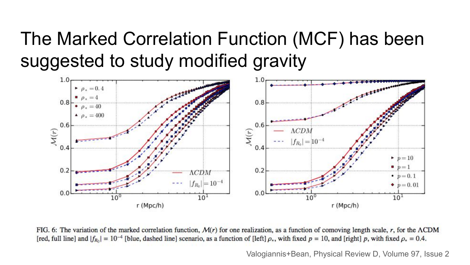# The Marked Correlation Function (MCF) has been suggested to study modified gravity



FIG. 6: The variation of the marked correlation function,  $\mathcal{M}(r)$  for one realization, as a function of comoving length scale, r, for the ACDM [red, full line] and  $|f_{R_0}| = 10^{-4}$  [blue, dashed line] scenario, as a function of [left]  $\rho_*$ , with fixed  $p = 10$ , and [right] p, with fixed  $\rho_* = 0.4$ .

Valogiannis+Bean, Physical Review D, Volume 97, Issue 2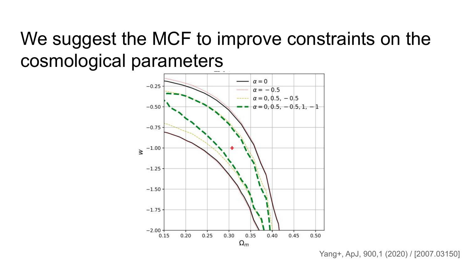# We suggest the MCF to improve constraints on the cosmological parameters



Yang+, ApJ, 900,1 (2020) / [2007.03150]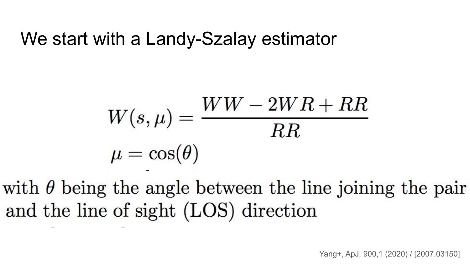## We start with a Landy-Szalay estimator

$$
W(s,\mu) = \frac{WW - 2WR + RR}{RR}
$$

$$
\mu = \cos(\theta)
$$

with  $\theta$  being the angle between the line joining the pair and the line of sight (LOS) direction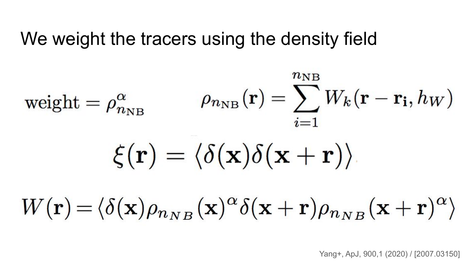#### We weight the tracers using the density field

$$
\text{weight} = \rho_{n_{\text{NB}}}^{\alpha} \qquad \rho_{n_{\text{NB}}}(\mathbf{r}) = \sum_{i=1}^{n_{\text{NB}}} W_k(\mathbf{r} - \mathbf{r_i}, h_W)
$$
\n
$$
\xi(\mathbf{r}) = \langle \delta(\mathbf{x}) \delta(\mathbf{x} + \mathbf{r}) \rangle
$$
\n
$$
W(\mathbf{r}) = \langle \delta(\mathbf{x}) \rho_{n_{NB}}(\mathbf{x})^{\alpha} \delta(\mathbf{x} + \mathbf{r}) \rho_{n_{NB}}(\mathbf{x} + \mathbf{r})^{\alpha} \rangle
$$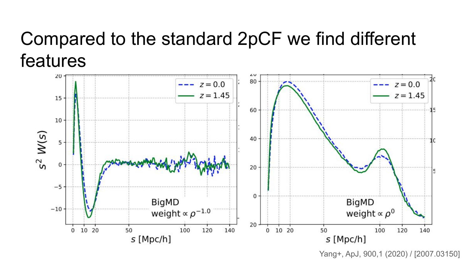# Compared to the standard 2pCF we find different features



Yang+, ApJ, 900,1 (2020) / [2007.03150]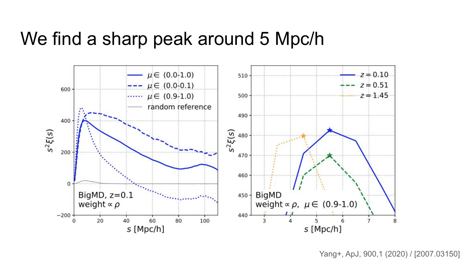#### We find a sharp peak around 5 Mpc/h

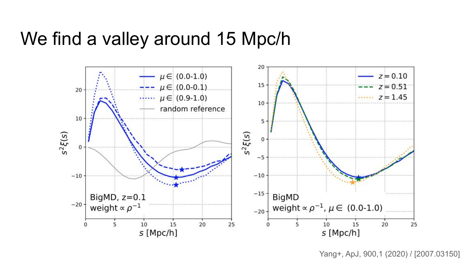#### We find a valley around 15 Mpc/h

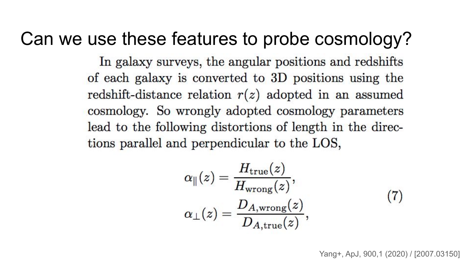## Can we use these features to probe cosmology?

In galaxy surveys, the angular positions and redshifts of each galaxy is converted to 3D positions using the redshift-distance relation  $r(z)$  adopted in an assumed cosmology. So wrongly adopted cosmology parameters lead to the following distortions of length in the directions parallel and perpendicular to the LOS,

$$
\alpha_{\parallel}(z) = \frac{H_{\text{true}}(z)}{H_{\text{wrong}}(z)},
$$
  
\n
$$
\alpha_{\perp}(z) = \frac{D_{A,\text{wrong}}(z)}{D_{A,\text{true}}(z)},
$$
\n(7)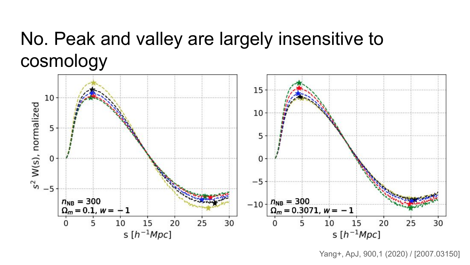## No. Peak and valley are largely insensitive to cosmology



Yang+, ApJ, 900,1 (2020) / [2007.03150]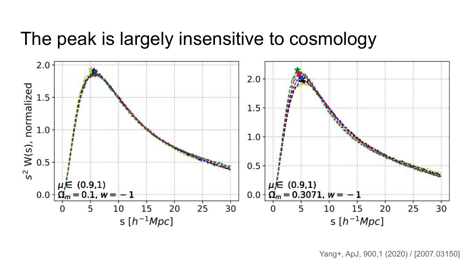#### The peak is largely insensitive to cosmology

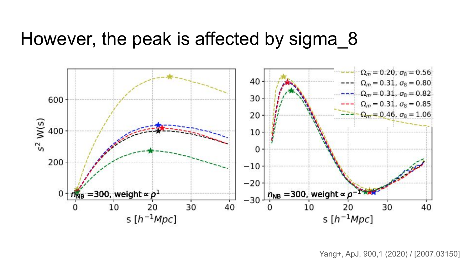#### However, the peak is affected by sigma 8

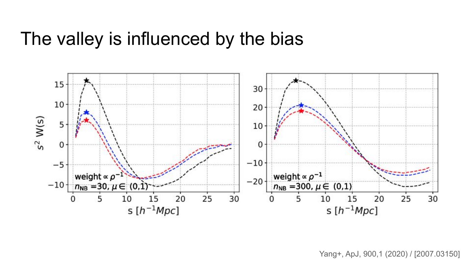#### The valley is influenced by the bias

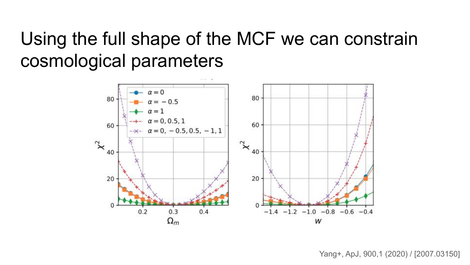## Using the full shape of the MCF we can constrain cosmological parameters

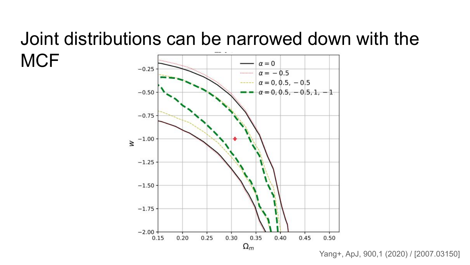## Joint distributions can be narrowed down with the **MCF**



Yang+, ApJ, 900,1 (2020) / [2007.03150]